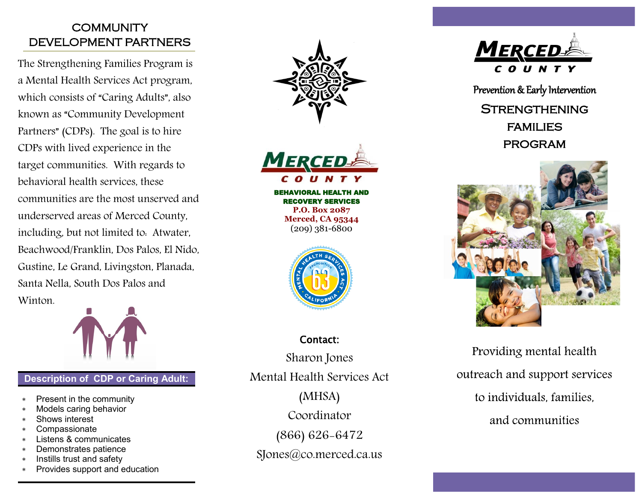# **COMMUNITY** DEVELOPMENT PARTNERS

The Strengthening Families Program is a Mental Health Services Act program, which consists of "Caring Adults", also known as "Community Development Partners" (CDPs). The goal is to hire CDPs with lived experience in the target communities. With regards to behavioral health services, these communities are the most unserved and underserved areas of Merced County, including, but not limited to: Atwater, Beachwood/Franklin, Dos Palos, El Nido, Gustine, Le Grand, Livingston, Planada, Santa Nella, South Dos Palos and Winton.



### **Description of CDP or Caring Adult:**

- Present in the community
- Models caring behavior
- Shows interest
- **Compassionate**
- Listens & communicates
- Demonstrates patience
- Instills trust and safety
- Provides support and education





BEHAVIORAL HEALTH AND RECOVERY SERVICES **P.O. Box 2087 Merced, CA 95344** (209) 381-6800



Contact: Sharon Jones Mental Health Services Act (MHSA) Coordinator (866) 626-6472 SJones@co.merced.ca.us



Prevention & Early Intervention

**STRENGTHENING** families program



Providing mental health outreach and support services to individuals, families. and communities